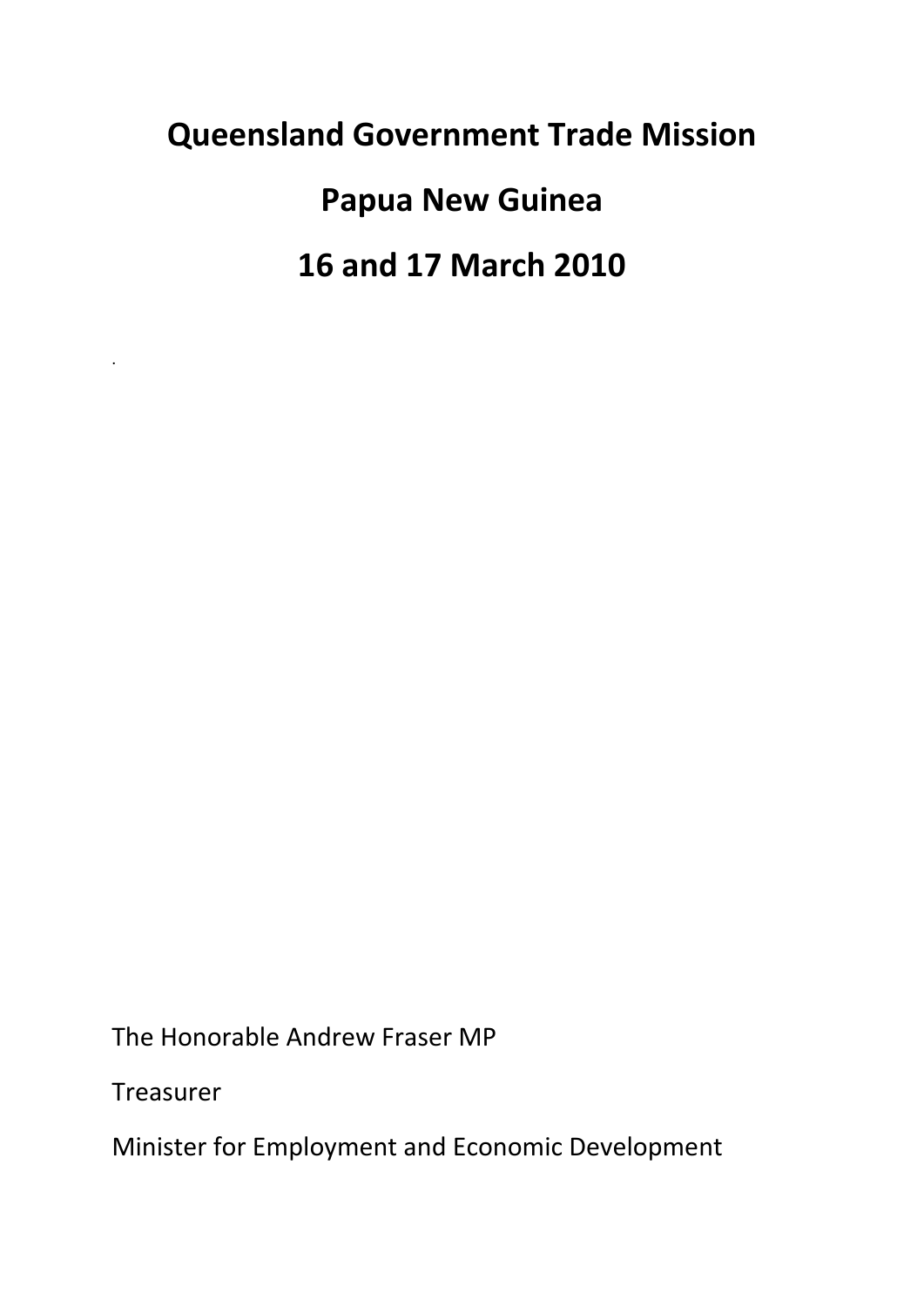# **Queensland Government Trade Mission**

**Papua New Guinea**

**16 and 17 March 2010**

The Honorable Andrew Fraser MP

Treasurer

.

Minister for Employment and Economic Development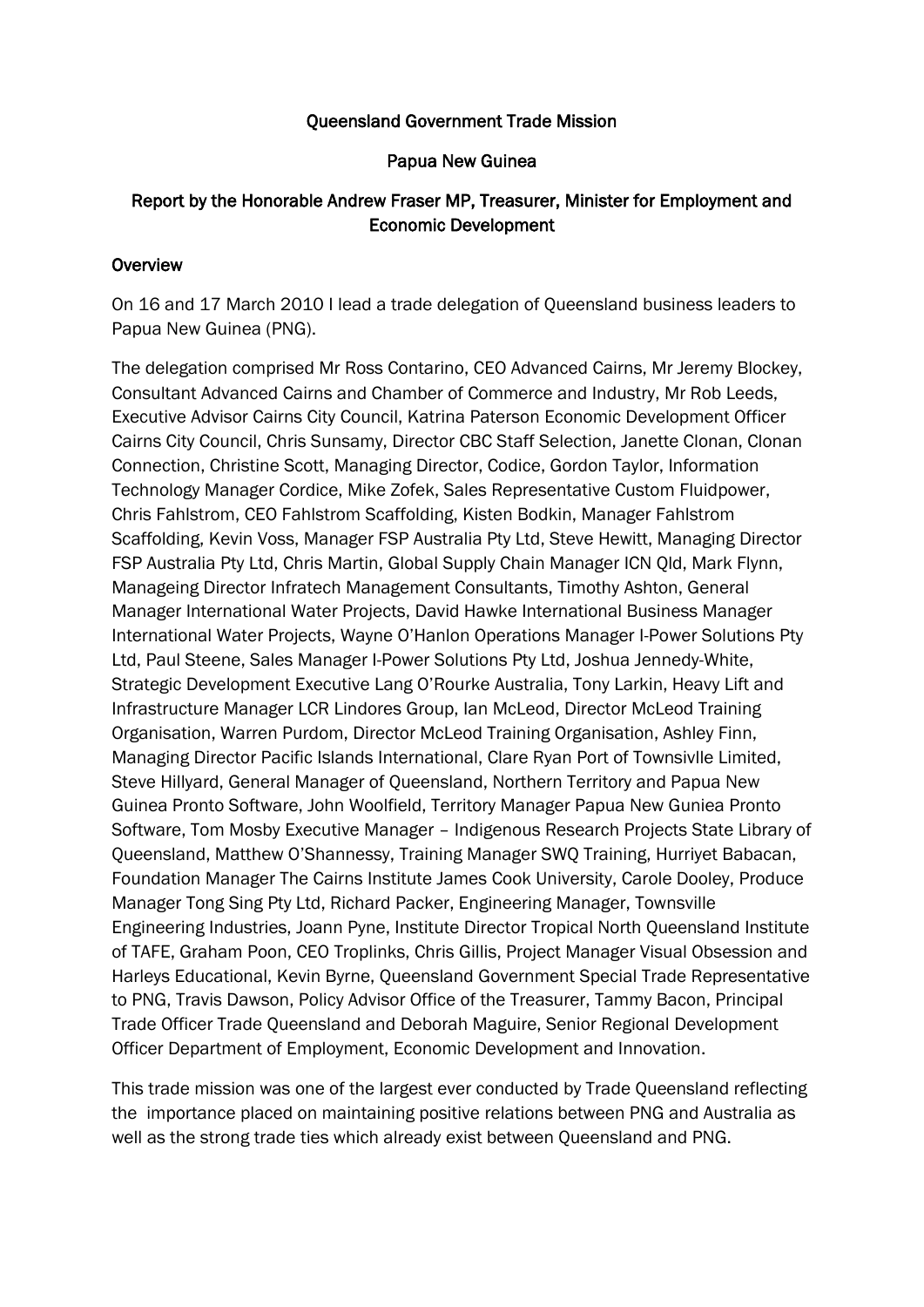#### Queensland Government Trade Mission

#### Papua New Guinea

### Report by the Honorable Andrew Fraser MP, Treasurer, Minister for Employment and Economic Development

#### **Overview**

On 16 and 17 March 2010 I lead a trade delegation of Queensland business leaders to Papua New Guinea (PNG).

The delegation comprised Mr Ross Contarino, CEO Advanced Cairns, Mr Jeremy Blockey, Consultant Advanced Cairns and Chamber of Commerce and Industry, Mr Rob Leeds, Executive Advisor Cairns City Council, Katrina Paterson Economic Development Officer Cairns City Council, Chris Sunsamy, Director CBC Staff Selection, Janette Clonan, Clonan Connection, Christine Scott, Managing Director, Codice, Gordon Taylor, Information Technology Manager Cordice, Mike Zofek, Sales Representative Custom Fluidpower, Chris Fahlstrom, CEO Fahlstrom Scaffolding, Kisten Bodkin, Manager Fahlstrom Scaffolding, Kevin Voss, Manager FSP Australia Pty Ltd, Steve Hewitt, Managing Director FSP Australia Pty Ltd, Chris Martin, Global Supply Chain Manager ICN Qld, Mark Flynn, Manageing Director Infratech Management Consultants, Timothy Ashton, General Manager International Water Projects, David Hawke International Business Manager International Water Projects, Wayne O'Hanlon Operations Manager I-Power Solutions Pty Ltd, Paul Steene, Sales Manager I-Power Solutions Pty Ltd, Joshua Jennedy-White, Strategic Development Executive Lang O'Rourke Australia, Tony Larkin, Heavy Lift and Infrastructure Manager LCR Lindores Group, Ian McLeod, Director McLeod Training Organisation, Warren Purdom, Director McLeod Training Organisation, Ashley Finn, Managing Director Pacific Islands International, Clare Ryan Port of Townsivlle Limited, Steve Hillyard, General Manager of Queensland, Northern Territory and Papua New Guinea Pronto Software, John Woolfield, Territory Manager Papua New Guniea Pronto Software, Tom Mosby Executive Manager – Indigenous Research Projects State Library of Queensland, Matthew O'Shannessy, Training Manager SWQ Training, Hurriyet Babacan, Foundation Manager The Cairns Institute James Cook University, Carole Dooley, Produce Manager Tong Sing Pty Ltd, Richard Packer, Engineering Manager, Townsville Engineering Industries, Joann Pyne, Institute Director Tropical North Queensland Institute of TAFE, Graham Poon, CEO Troplinks, Chris Gillis, Project Manager Visual Obsession and Harleys Educational, Kevin Byrne, Queensland Government Special Trade Representative to PNG, Travis Dawson, Policy Advisor Office of the Treasurer, Tammy Bacon, Principal Trade Officer Trade Queensland and Deborah Maguire, Senior Regional Development Officer Department of Employment, Economic Development and Innovation.

This trade mission was one of the largest ever conducted by Trade Queensland reflecting the importance placed on maintaining positive relations between PNG and Australia as well as the strong trade ties which already exist between Queensland and PNG.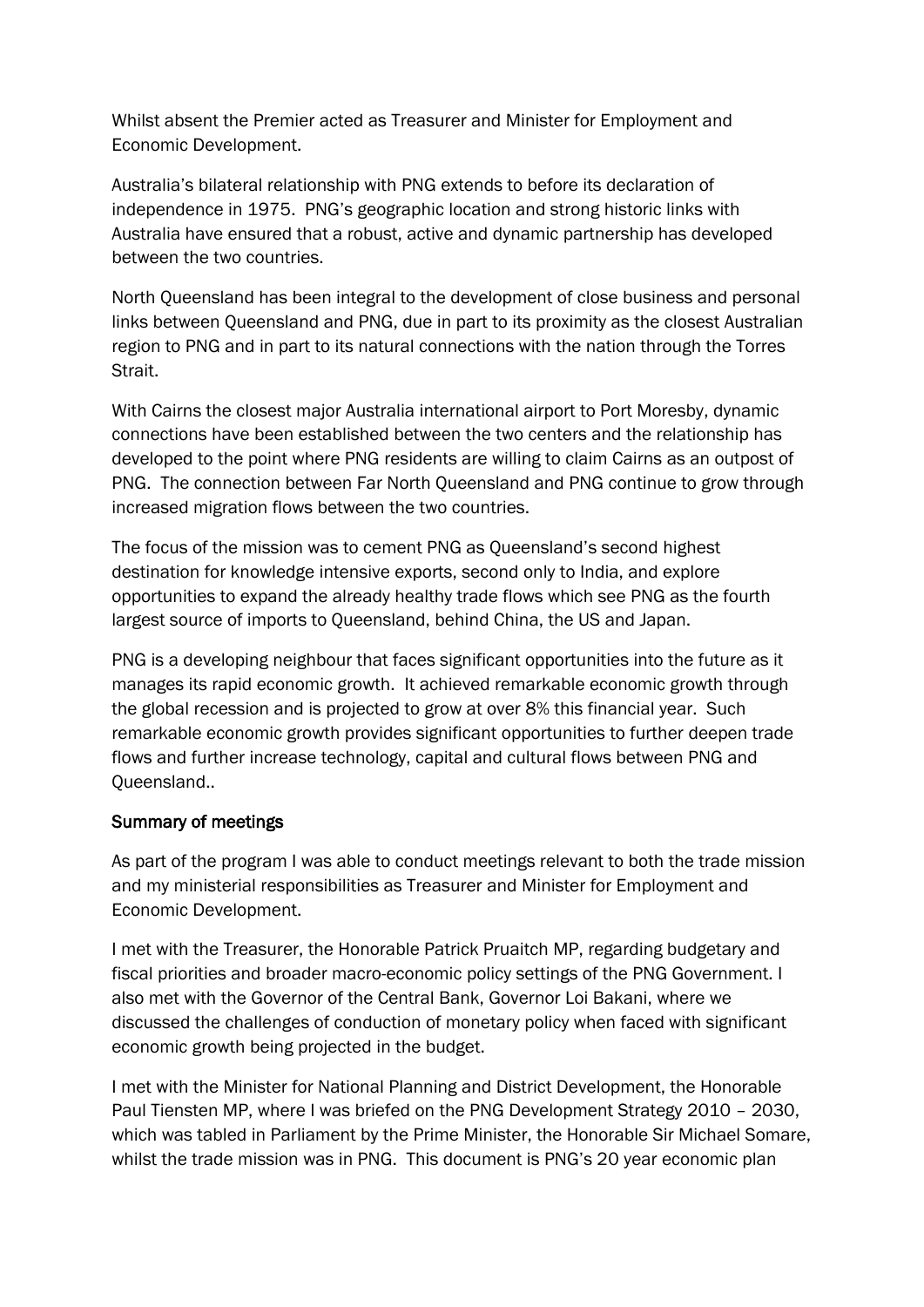Whilst absent the Premier acted as Treasurer and Minister for Employment and Economic Development.

Australia's bilateral relationship with PNG extends to before its declaration of independence in 1975. PNG's geographic location and strong historic links with Australia have ensured that a robust, active and dynamic partnership has developed between the two countries.

North Queensland has been integral to the development of close business and personal links between Queensland and PNG, due in part to its proximity as the closest Australian region to PNG and in part to its natural connections with the nation through the Torres Strait.

With Cairns the closest major Australia international airport to Port Moresby, dynamic connections have been established between the two centers and the relationship has developed to the point where PNG residents are willing to claim Cairns as an outpost of PNG. The connection between Far North Queensland and PNG continue to grow through increased migration flows between the two countries.

The focus of the mission was to cement PNG as Queensland's second highest destination for knowledge intensive exports, second only to India, and explore opportunities to expand the already healthy trade flows which see PNG as the fourth largest source of imports to Queensland, behind China, the US and Japan.

PNG is a developing neighbour that faces significant opportunities into the future as it manages its rapid economic growth. It achieved remarkable economic growth through the global recession and is projected to grow at over 8% this financial year. Such remarkable economic growth provides significant opportunities to further deepen trade flows and further increase technology, capital and cultural flows between PNG and Queensland..

## Summary of meetings

As part of the program I was able to conduct meetings relevant to both the trade mission and my ministerial responsibilities as Treasurer and Minister for Employment and Economic Development.

I met with the Treasurer, the Honorable Patrick Pruaitch MP, regarding budgetary and fiscal priorities and broader macro-economic policy settings of the PNG Government. I also met with the Governor of the Central Bank, Governor Loi Bakani, where we discussed the challenges of conduction of monetary policy when faced with significant economic growth being projected in the budget.

I met with the Minister for National Planning and District Development, the Honorable Paul Tiensten MP, where I was briefed on the PNG Development Strategy 2010 – 2030, which was tabled in Parliament by the Prime Minister, the Honorable Sir Michael Somare, whilst the trade mission was in PNG. This document is PNG's 20 year economic plan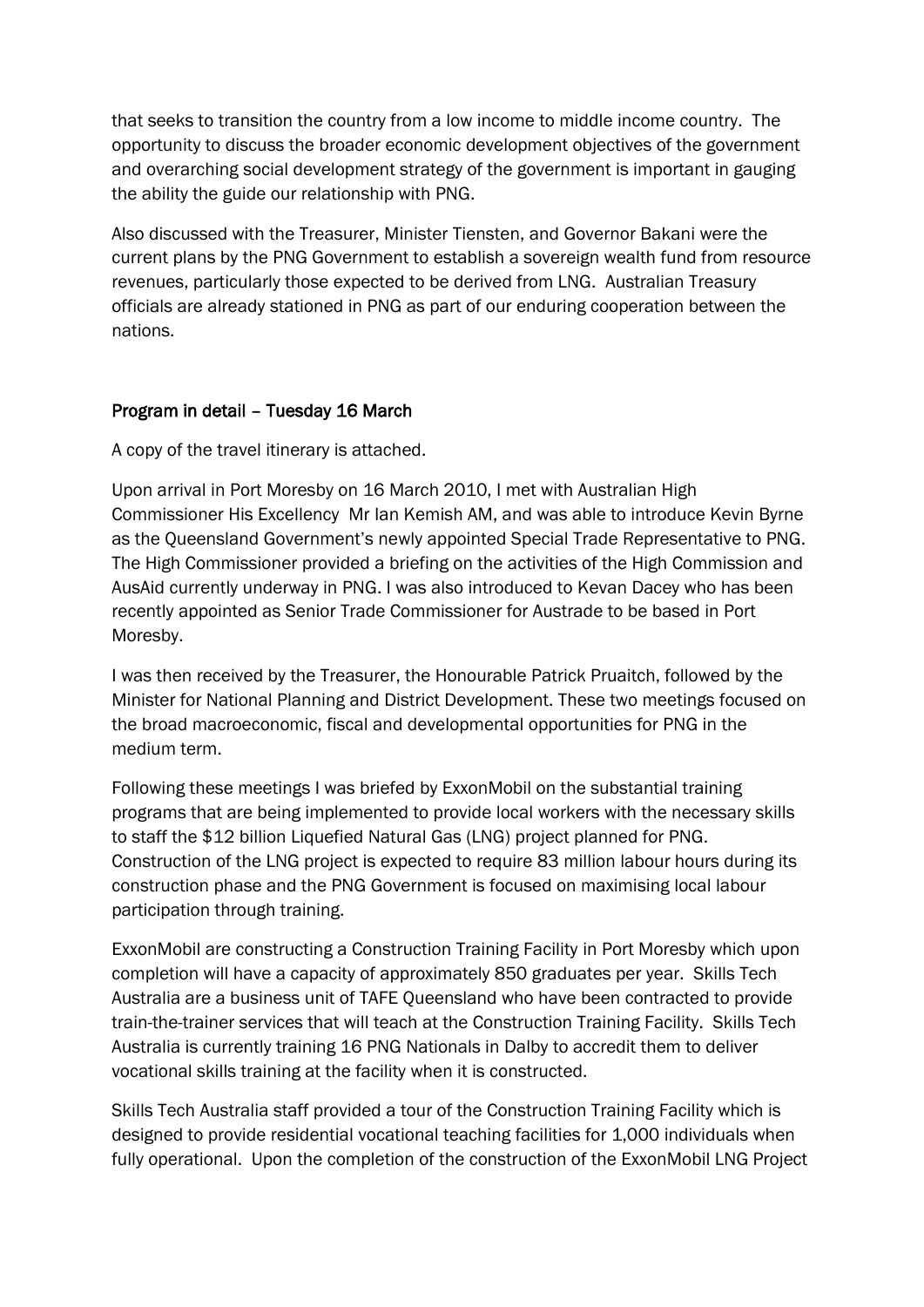that seeks to transition the country from a low income to middle income country. The opportunity to discuss the broader economic development objectives of the government and overarching social development strategy of the government is important in gauging the ability the guide our relationship with PNG.

Also discussed with the Treasurer, Minister Tiensten, and Governor Bakani were the current plans by the PNG Government to establish a sovereign wealth fund from resource revenues, particularly those expected to be derived from LNG. Australian Treasury officials are already stationed in PNG as part of our enduring cooperation between the nations.

## Program in detail – Tuesday 16 March

A copy of the travel itinerary is attached.

Upon arrival in Port Moresby on 16 March 2010, I met with Australian High Commissioner His Excellency Mr Ian Kemish AM, and was able to introduce Kevin Byrne as the Queensland Government's newly appointed Special Trade Representative to PNG. The High Commissioner provided a briefing on the activities of the High Commission and AusAid currently underway in PNG. I was also introduced to Kevan Dacey who has been recently appointed as Senior Trade Commissioner for Austrade to be based in Port Moresby.

I was then received by the Treasurer, the Honourable Patrick Pruaitch, followed by the Minister for National Planning and District Development. These two meetings focused on the broad macroeconomic, fiscal and developmental opportunities for PNG in the medium term.

Following these meetings I was briefed by ExxonMobil on the substantial training programs that are being implemented to provide local workers with the necessary skills to staff the \$12 billion Liquefied Natural Gas (LNG) project planned for PNG. Construction of the LNG project is expected to require 83 million labour hours during its construction phase and the PNG Government is focused on maximising local labour participation through training.

ExxonMobil are constructing a Construction Training Facility in Port Moresby which upon completion will have a capacity of approximately 850 graduates per year. Skills Tech Australia are a business unit of TAFE Queensland who have been contracted to provide train-the-trainer services that will teach at the Construction Training Facility. Skills Tech Australia is currently training 16 PNG Nationals in Dalby to accredit them to deliver vocational skills training at the facility when it is constructed.

Skills Tech Australia staff provided a tour of the Construction Training Facility which is designed to provide residential vocational teaching facilities for 1,000 individuals when fully operational. Upon the completion of the construction of the ExxonMobil LNG Project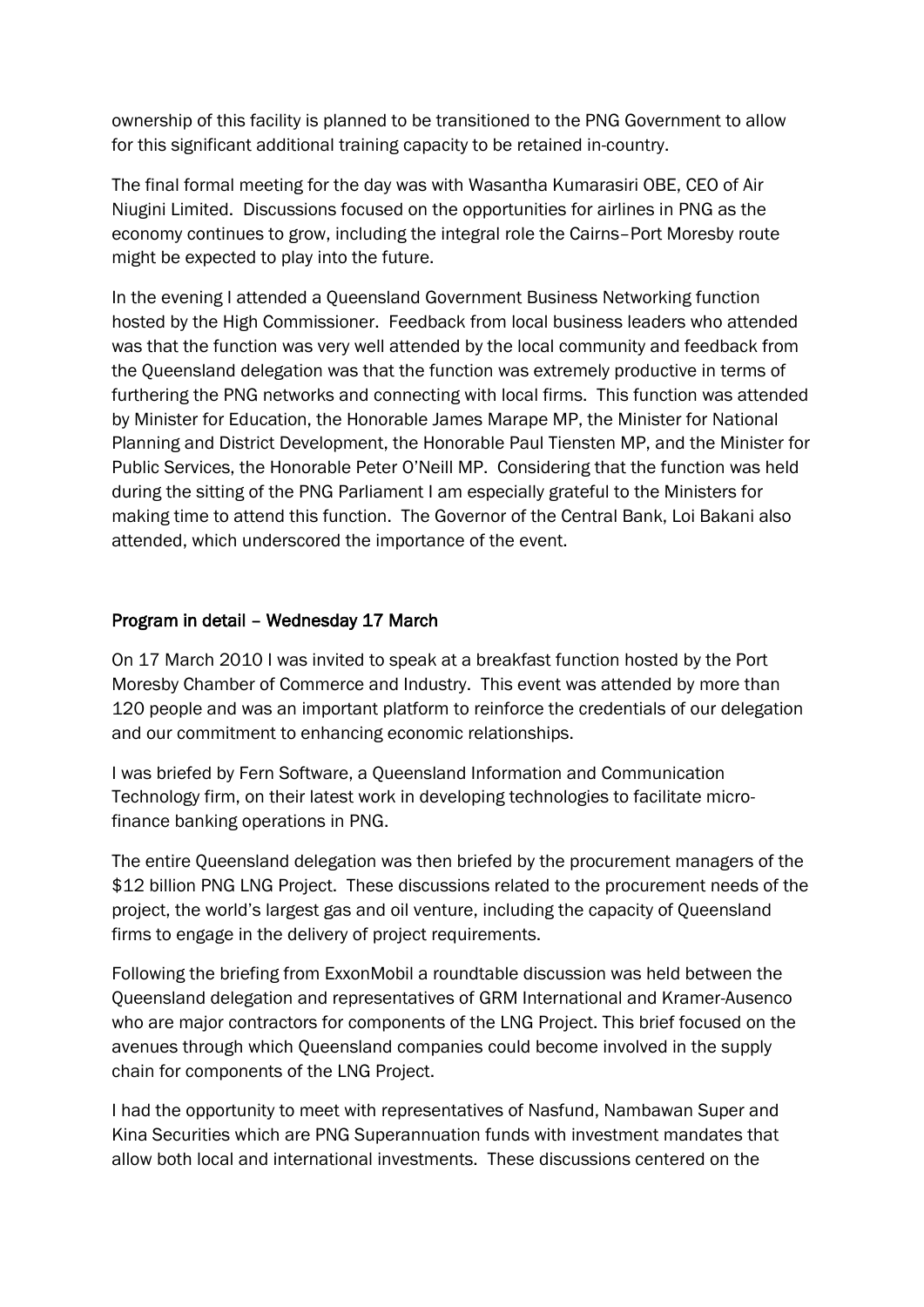ownership of this facility is planned to be transitioned to the PNG Government to allow for this significant additional training capacity to be retained in-country.

The final formal meeting for the day was with Wasantha Kumarasiri OBE, CEO of Air Niugini Limited. Discussions focused on the opportunities for airlines in PNG as the economy continues to grow, including the integral role the Cairns–Port Moresby route might be expected to play into the future.

In the evening I attended a Queensland Government Business Networking function hosted by the High Commissioner. Feedback from local business leaders who attended was that the function was very well attended by the local community and feedback from the Queensland delegation was that the function was extremely productive in terms of furthering the PNG networks and connecting with local firms. This function was attended by Minister for Education, the Honorable James Marape MP, the Minister for National Planning and District Development, the Honorable Paul Tiensten MP, and the Minister for Public Services, the Honorable Peter O'Neill MP. Considering that the function was held during the sitting of the PNG Parliament I am especially grateful to the Ministers for making time to attend this function. The Governor of the Central Bank, Loi Bakani also attended, which underscored the importance of the event.

## Program in detail – Wednesday 17 March

On 17 March 2010 I was invited to speak at a breakfast function hosted by the Port Moresby Chamber of Commerce and Industry. This event was attended by more than 120 people and was an important platform to reinforce the credentials of our delegation and our commitment to enhancing economic relationships.

I was briefed by Fern Software, a Queensland Information and Communication Technology firm, on their latest work in developing technologies to facilitate microfinance banking operations in PNG.

The entire Queensland delegation was then briefed by the procurement managers of the \$12 billion PNG LNG Project. These discussions related to the procurement needs of the project, the world's largest gas and oil venture, including the capacity of Queensland firms to engage in the delivery of project requirements.

Following the briefing from ExxonMobil a roundtable discussion was held between the Queensland delegation and representatives of GRM International and Kramer-Ausenco who are major contractors for components of the LNG Project. This brief focused on the avenues through which Queensland companies could become involved in the supply chain for components of the LNG Project.

I had the opportunity to meet with representatives of Nasfund, Nambawan Super and Kina Securities which are PNG Superannuation funds with investment mandates that allow both local and international investments. These discussions centered on the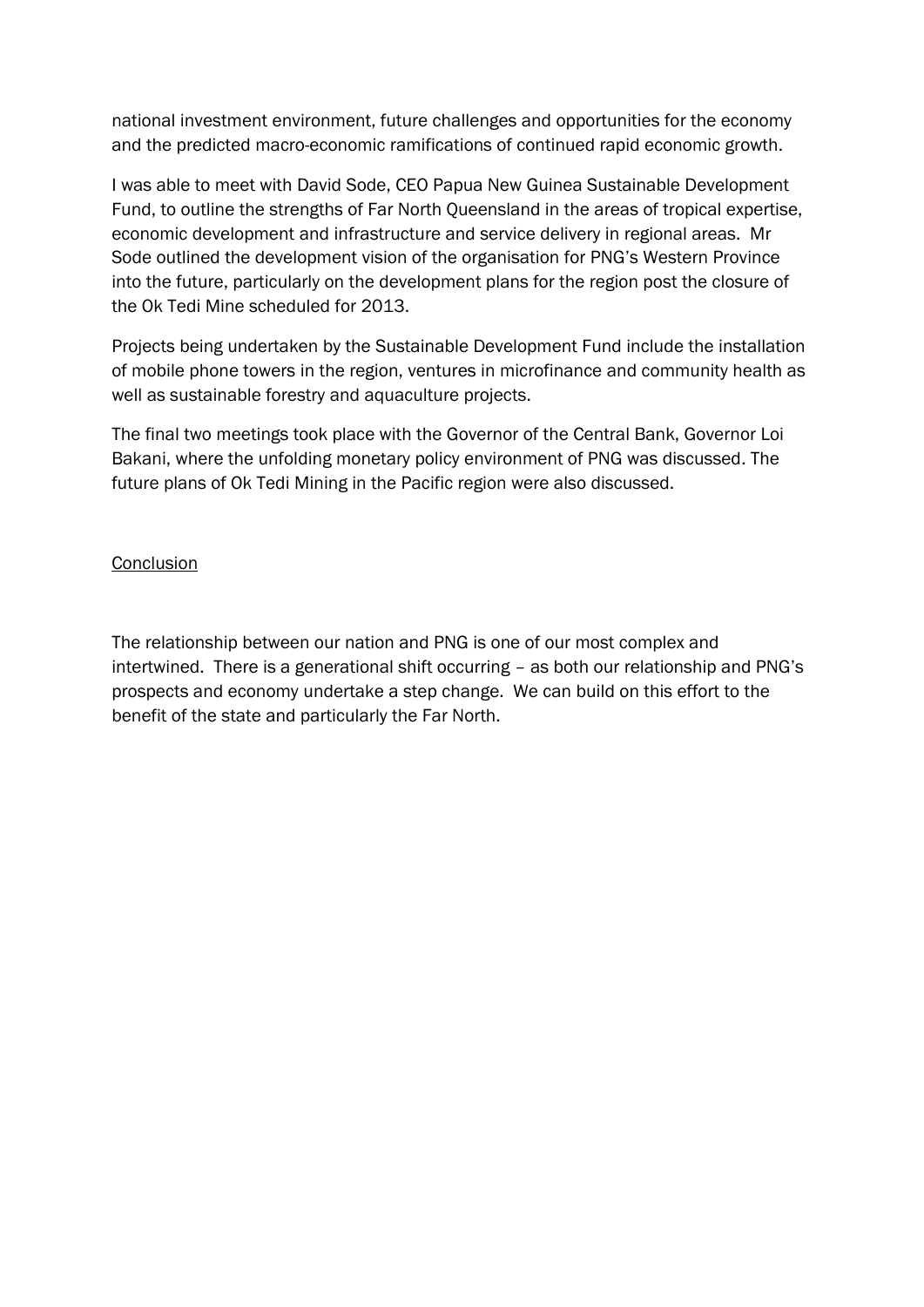national investment environment, future challenges and opportunities for the economy and the predicted macro-economic ramifications of continued rapid economic growth.

I was able to meet with David Sode, CEO Papua New Guinea Sustainable Development Fund, to outline the strengths of Far North Queensland in the areas of tropical expertise, economic development and infrastructure and service delivery in regional areas. Mr Sode outlined the development vision of the organisation for PNG's Western Province into the future, particularly on the development plans for the region post the closure of the Ok Tedi Mine scheduled for 2013.

Projects being undertaken by the Sustainable Development Fund include the installation of mobile phone towers in the region, ventures in microfinance and community health as well as sustainable forestry and aquaculture projects.

The final two meetings took place with the Governor of the Central Bank, Governor Loi Bakani, where the unfolding monetary policy environment of PNG was discussed. The future plans of Ok Tedi Mining in the Pacific region were also discussed.

#### **Conclusion**

The relationship between our nation and PNG is one of our most complex and intertwined. There is a generational shift occurring – as both our relationship and PNG's prospects and economy undertake a step change. We can build on this effort to the benefit of the state and particularly the Far North.